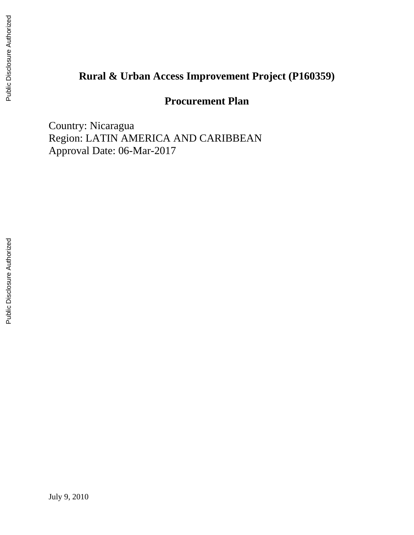## **[Rural & Urban Access Improvement Project \(P160359\)](http://operationsportal.worldbank.org/secure/P126357/home)**

## **Procurement Plan**

Country: Nicaragua Region: LATIN AMERICA AND CARIBBEAN Approval Date: 06-Mar-2017